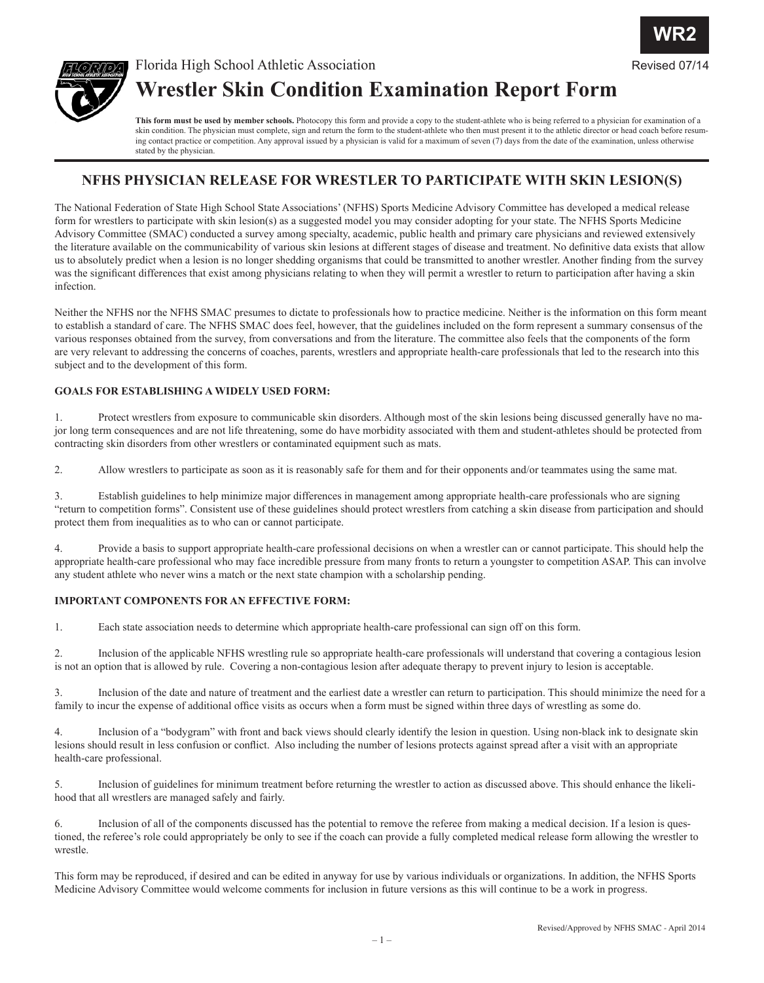

Revised 07/1



# Florida High School Athletic Association **Wrestler Skin Condition Examination Report Form**

This form must be used by member schools. Photocopy this form and provide a copy to the student-athlete who is being referred to a physician for examination of a skin condition. The physician must complete, sign and return the form to the student-athlete who then must present it to the athletic director or head coach before resuming contact practice or competition. Any approval issued by a physician is valid for a maximum of seven (7) days from the date of the examination, unless otherwise stated by the physician.

### **NFHS PHYSICIAN RELEASE FOR WRESTLER TO PARTICIPATE WITH SKIN LESION(S)**

The National Federation of State High School State Associations' (NFHS) Sports Medicine Advisory Committee has developed a medical release form for wrestlers to participate with skin lesion(s) as a suggested model you may consider adopting for your state. The NFHS Sports Medicine Advisory Committee (SMAC) conducted a survey among specialty, academic, public health and primary care physicians and reviewed extensively the literature available on the communicability of various skin lesions at different stages of disease and treatment. No definitive data exists that allow us to absolutely predict when a lesion is no longer shedding organisms that could be transmitted to another wrestler. Another finding from the survey was the significant differences that exist among physicians relating to when they will permit a wrestler to return to participation after having a skin infection.

Neither the NFHS nor the NFHS SMAC presumes to dictate to professionals how to practice medicine. Neither is the information on this form meant to establish a standard of care. The NFHS SMAC does feel, however, that the guidelines included on the form represent a summary consensus of the various responses obtained from the survey, from conversations and from the literature. The committee also feels that the components of the form are very relevant to addressing the concerns of coaches, parents, wrestlers and appropriate health-care professionals that led to the research into this subject and to the development of this form.

#### **GOALS FOR ESTABLISHING A WIDELY USED FORM:**

1. Protect wrestlers from exposure to communicable skin disorders. Although most of the skin lesions being discussed generally have no major long term consequences and are not life threatening, some do have morbidity associated with them and student-athletes should be protected from contracting skin disorders from other wrestlers or contaminated equipment such as mats.

2. Allow wrestlers to participate as soon as it is reasonably safe for them and for their opponents and/or teammates using the same mat.

3. Establish guidelines to help minimize major differences in management among appropriate health-care professionals who are signing "return to competition forms". Consistent use of these guidelines should protect wrestlers from catching a skin disease from participation and should protect them from inequalities as to who can or cannot participate.

4. Provide a basis to support appropriate health-care professional decisions on when a wrestler can or cannot participate. This should help the appropriate health-care professional who may face incredible pressure from many fronts to return a youngster to competition ASAP. This can involve any student athlete who never wins a match or the next state champion with a scholarship pending.

#### **IMPORTANT COMPONENTS FOR AN EFFECTIVE FORM:**

1. Each state association needs to determine which appropriate health-care professional can sign off on this form.

2. Inclusion of the applicable NFHS wrestling rule so appropriate health-care professionals will understand that covering a contagious lesion is not an option that is allowed by rule. Covering a non-contagious lesion after adequate therapy to prevent injury to lesion is acceptable.

3. Inclusion of the date and nature of treatment and the earliest date a wrestler can return to participation. This should minimize the need for a family to incur the expense of additional office visits as occurs when a form must be signed within three days of wrestling as some do.

4. Inclusion of a "bodygram" with front and back views should clearly identify the lesion in question. Using non-black ink to designate skin lesions should result in less confusion or conflict. Also including the number of lesions protects against spread after a visit with an appropriate health-care professional.

5. Inclusion of guidelines for minimum treatment before returning the wrestler to action as discussed above. This should enhance the likelihood that all wrestlers are managed safely and fairly.

6. Inclusion of all of the components discussed has the potential to remove the referee from making a medical decision. If a lesion is questioned, the referee's role could appropriately be only to see if the coach can provide a fully completed medical release form allowing the wrestler to wrestle.

This form may be reproduced, if desired and can be edited in anyway for use by various individuals or organizations. In addition, the NFHS Sports Medicine Advisory Committee would welcome comments for inclusion in future versions as this will continue to be a work in progress.